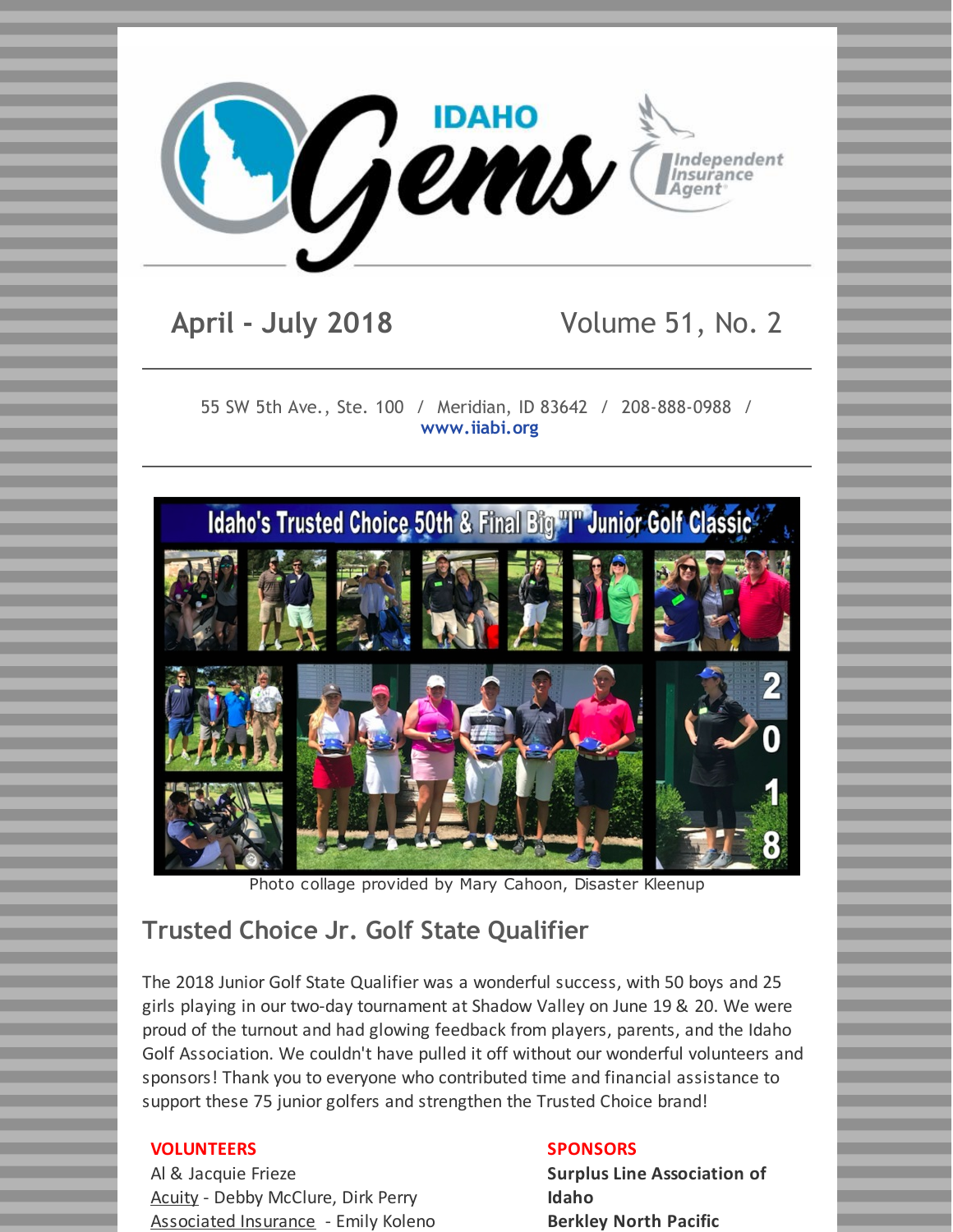

## **April - July 2018** Volume 51, No. 2

55 SW 5th Ave., Ste. 100 / Meridian, ID 83642 / 208-888-0988 / **[www.iiabi.org](http://www.iiabi.org)**



Photo collage provided by Mary Cahoon, Disaster Kleenup

## **Trusted Choice Jr. Golf State Qualifier**

The 2018 Junior Golf State Qualifier was a wonderful success, with 50 boys and 25 girls playing in our two-day tournament at Shadow Valley on June 19 & 20. We were proud of the turnout and had glowing feedback from players, parents, and the Idaho Golf Association. We couldn't have pulled it off without our wonderful volunteers and sponsors! Thank you to everyone who contributed time and financial assistance to support these 75 junior golfers and strengthen the Trusted Choice brand!

#### **VOLUNTEERS**

Al & Jacquie Frieze Acuity - Debby McClure, Dirk Perry Associated Insurance - Emily Koleno

#### **SPONSORS**

**Surplus Line Association of Idaho Berkley North Pacific**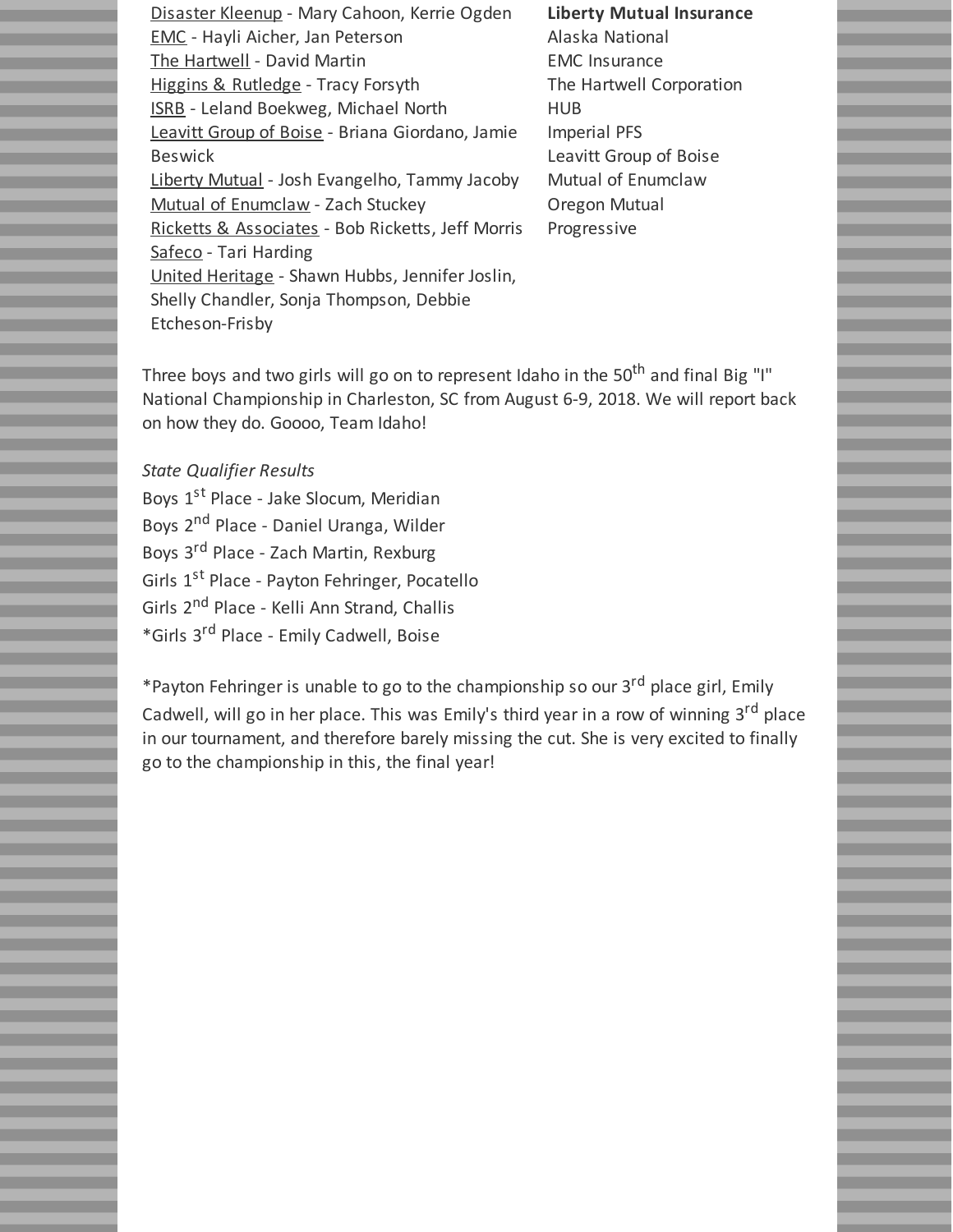Disaster Kleenup - Mary Cahoon, Kerrie Ogden EMC - Hayli Aicher, Jan Peterson The Hartwell - David Martin Higgins & Rutledge - Tracy Forsyth ISRB - Leland Boekweg, Michael North Leavitt Group of Boise - Briana Giordano, Jamie Beswick Liberty Mutual - Josh Evangelho, Tammy Jacoby Mutual of Enumclaw - Zach Stuckey Ricketts & Associates - Bob Ricketts, Jeff Morris Safeco - Tari Harding United Heritage - Shawn Hubbs, Jennifer Joslin, Shelly Chandler, Sonja Thompson, Debbie Etcheson-Frisby

**Liberty Mutual Insurance** Alaska National EMC Insurance The Hartwell Corporation HUB Imperial PFS Leavitt Group of Boise Mutual of Enumclaw Oregon Mutual Progressive

Three boys and two girls will go on to represent Idaho in the 50<sup>th</sup> and final Big "I" National Championship in Charleston, SC from August 6-9, 2018. We will report back on how they do. Goooo, Team Idaho!

#### *State Qualifier Results*

Boys 1<sup>st</sup> Place - Jake Slocum, Meridian Boys 2<sup>nd</sup> Place - Daniel Uranga, Wilder Boys 3<sup>rd</sup> Place - Zach Martin, Rexburg Girls 1<sup>st</sup> Place - Payton Fehringer, Pocatello Girls 2<sup>nd</sup> Place - Kelli Ann Strand, Challis \*Girls 3 rd Place - Emily Cadwell, Boise

\*Payton Fehringer is unable to go to the championship so our 3<sup>rd</sup> place girl, Emily Cadwell, will go in her place. This was Emily's third year in a row of winning 3<sup>rd</sup> place in our tournament, and therefore barely missing the cut. She is very excited to finally go to the championship in this, the final year!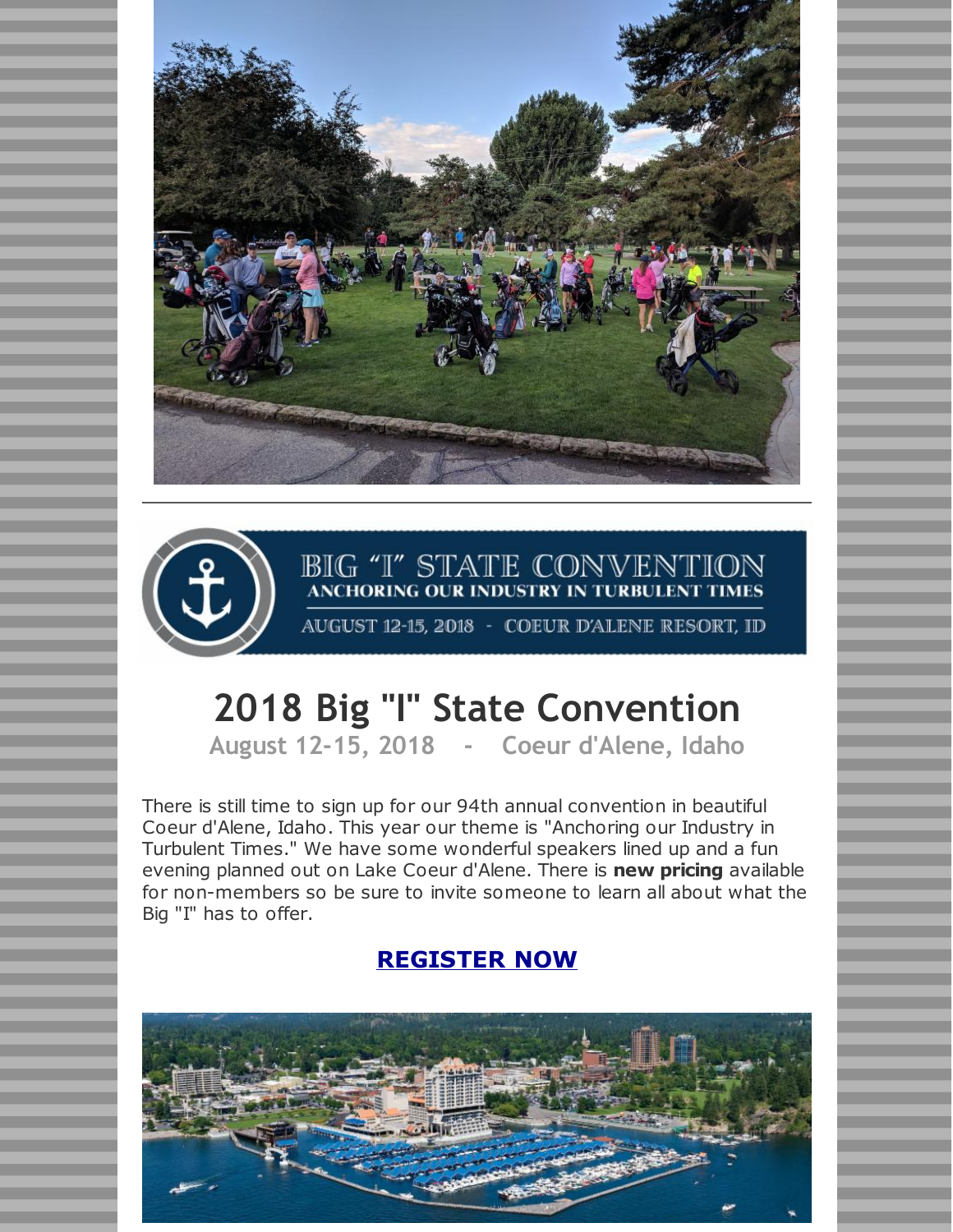



# **BIG "I" STATE CONVENTION**<br>ANCHORING OUR INDUSTRY IN TURBULENT TIMES

AUGUST 12-15, 2018 - COEUR D'ALENE RESORT, ID

## **2018 Big "I" State Convention**

**August 12-15, 2018 - Coeur d'Alene, Idaho**

There is still time to sign up for our 94th annual convention in beautiful Coeur d'Alene, Idaho. This year our theme is "Anchoring our Industry in Turbulent Times." We have some wonderful speakers lined up and a fun evening planned out on Lake Coeur d'Alene. There is **new pricing** available for non-members so be sure to invite someone to learn all about what the Big "I" has to offer.

## **[REGISTER](https://www.iiabi.org/events-1/2018-big-i-state-convention) NOW**

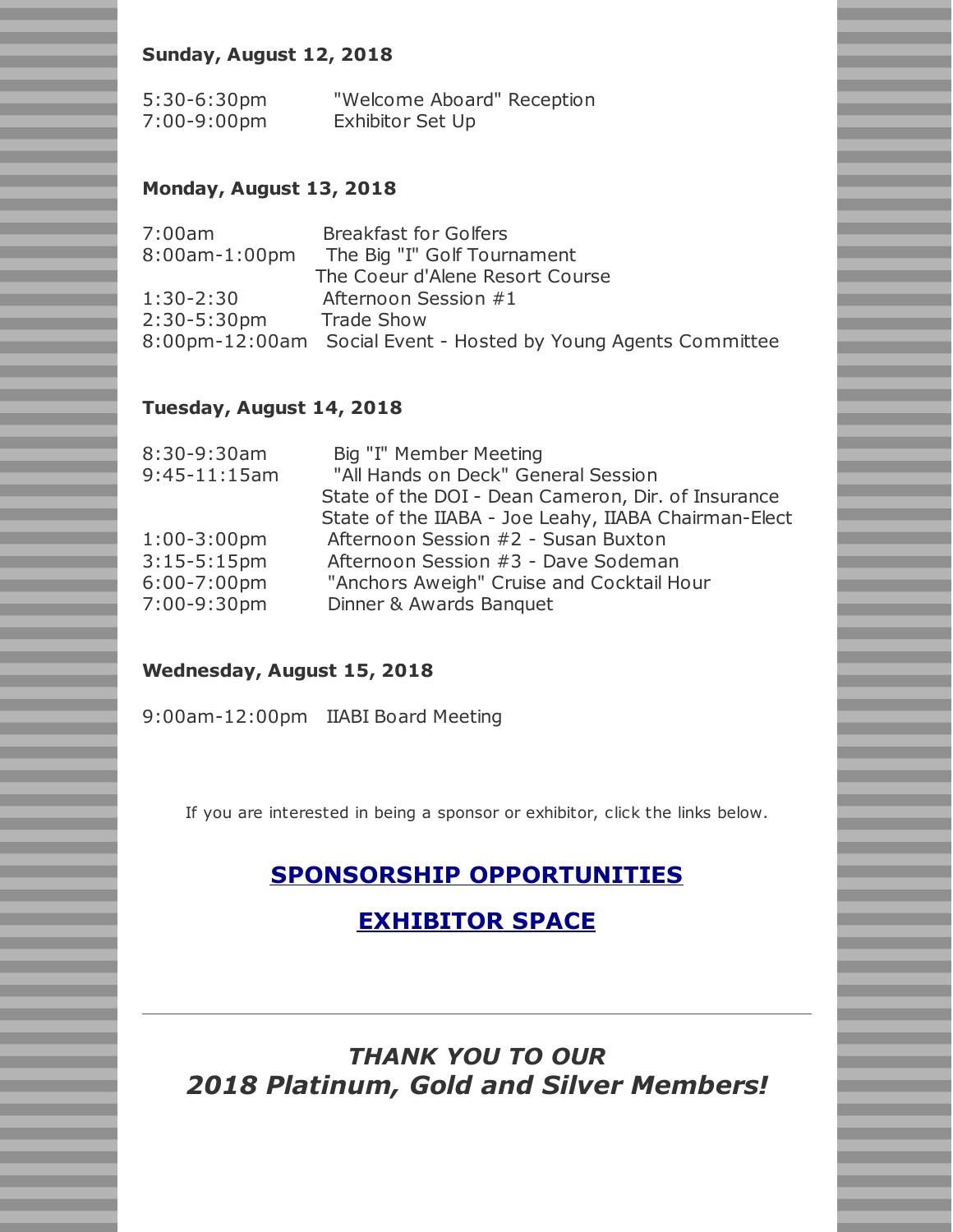### **Sunday, August 12, 2018**

| $5:30-6:30$ pm | "Welcome Aboard" Reception |
|----------------|----------------------------|
| 7:00-9:00pm    | Exhibitor Set Up           |

#### **Monday, August 13, 2018**

| 7:00am           | <b>Breakfast for Golfers</b>                                   |
|------------------|----------------------------------------------------------------|
| 8:00am-1:00pm    | The Big "I" Golf Tournament                                    |
|                  | The Coeur d'Alene Resort Course                                |
| $1:30-2:30$      | Afternoon Session #1                                           |
| $2:30 - 5:30$ pm | <b>Trade Show</b>                                              |
|                  | 8:00pm-12:00am Social Event - Hosted by Young Agents Committee |

#### **Tuesday, August 14, 2018**

| 8:30-9:30am      | Big "I" Member Meeting                               |
|------------------|------------------------------------------------------|
| $9:45-11:15am$   | "All Hands on Deck" General Session                  |
|                  | State of the DOI - Dean Cameron, Dir. of Insurance   |
|                  | State of the IIABA - Joe Leahy, IIABA Chairman-Elect |
| $1:00-3:00$ pm   | Afternoon Session #2 - Susan Buxton                  |
| $3:15-5:15$ pm   | Afternoon Session #3 - Dave Sodeman                  |
| $6:00 - 7:00$ pm | "Anchors Aweigh" Cruise and Cocktail Hour            |
| 7:00-9:30pm      | Dinner & Awards Banquet                              |
|                  |                                                      |

#### **Wednesday, August 15, 2018**

9:00am-12:00pm IIABI Board Meeting

If you are interested in being a sponsor or exhibitor, click the links below.

## **SPONSORSHIP [OPPORTUNITIES](http://files.constantcontact.com/e55b1ff0201/d000bfbb-58b0-4110-b664-1df54db4bb81.pdf)**

## **[EXHIBITOR](http://files.constantcontact.com/e55b1ff0201/b2ef1709-5426-42f3-9452-32ed678d980f.pdf) SPACE**

## *THANK YOU TO OUR 2018 Platinum, Gold and Silver Members!*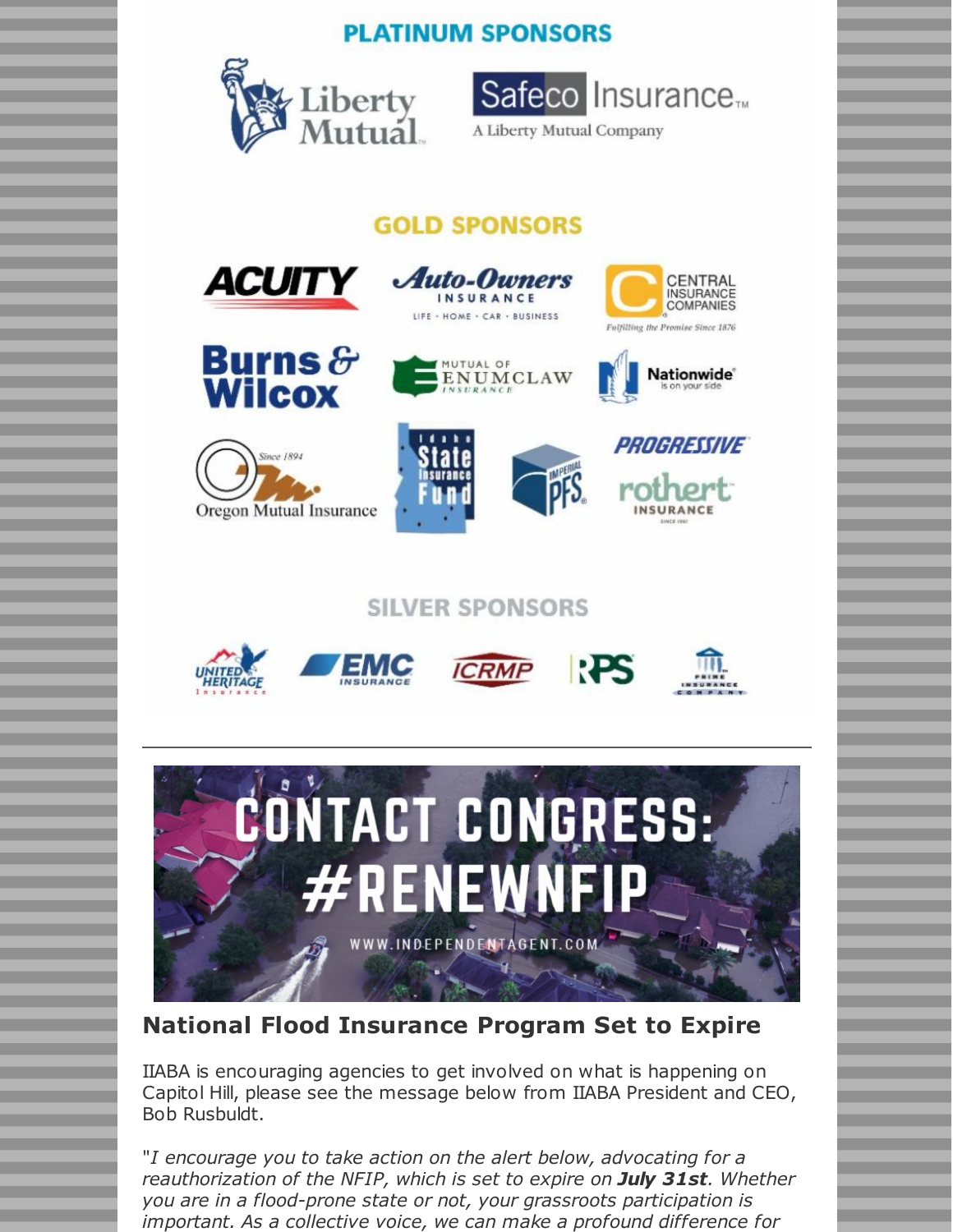## **PLATINUM SPONSORS**





A Liberty Mutual Company

## **GOLD SPONSORS**

**Auto-Owners** 

INSURANCE



















## **SILVER SPONSORS**











## **National Flood Insurance Program Set to Expire**

IIABA is encouraging agencies to get involved on what is happening on Capitol Hill, please see the message below from IIABA President and CEO, Bob Rusbuldt.

"*I encourage you to take action on the alert below, advocating for a reauthorization of the NFIP, which is set to expire on July 31st. Whether you are in a flood-prone state or not, your grassroots participation is important. As a collective voice, we can make a profound difference for*